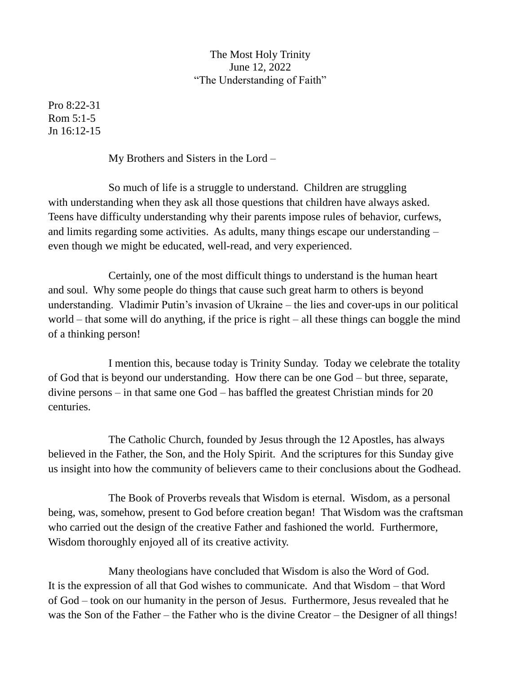## The Most Holy Trinity June 12, 2022 "The Understanding of Faith"

Pro 8:22-31 Rom 5:1-5 Jn 16:12-15

My Brothers and Sisters in the Lord –

So much of life is a struggle to understand. Children are struggling with understanding when they ask all those questions that children have always asked. Teens have difficulty understanding why their parents impose rules of behavior, curfews, and limits regarding some activities. As adults, many things escape our understanding – even though we might be educated, well-read, and very experienced.

Certainly, one of the most difficult things to understand is the human heart and soul. Why some people do things that cause such great harm to others is beyond understanding. Vladimir Putin's invasion of Ukraine – the lies and cover-ups in our political world – that some will do anything, if the price is right – all these things can boggle the mind of a thinking person!

I mention this, because today is Trinity Sunday. Today we celebrate the totality of God that is beyond our understanding. How there can be one God – but three, separate, divine persons – in that same one God – has baffled the greatest Christian minds for 20 centuries.

The Catholic Church, founded by Jesus through the 12 Apostles, has always believed in the Father, the Son, and the Holy Spirit. And the scriptures for this Sunday give us insight into how the community of believers came to their conclusions about the Godhead.

The Book of Proverbs reveals that Wisdom is eternal. Wisdom, as a personal being, was, somehow, present to God before creation began! That Wisdom was the craftsman who carried out the design of the creative Father and fashioned the world. Furthermore, Wisdom thoroughly enjoyed all of its creative activity.

Many theologians have concluded that Wisdom is also the Word of God. It is the expression of all that God wishes to communicate. And that Wisdom – that Word of God – took on our humanity in the person of Jesus. Furthermore, Jesus revealed that he was the Son of the Father – the Father who is the divine Creator – the Designer of all things!